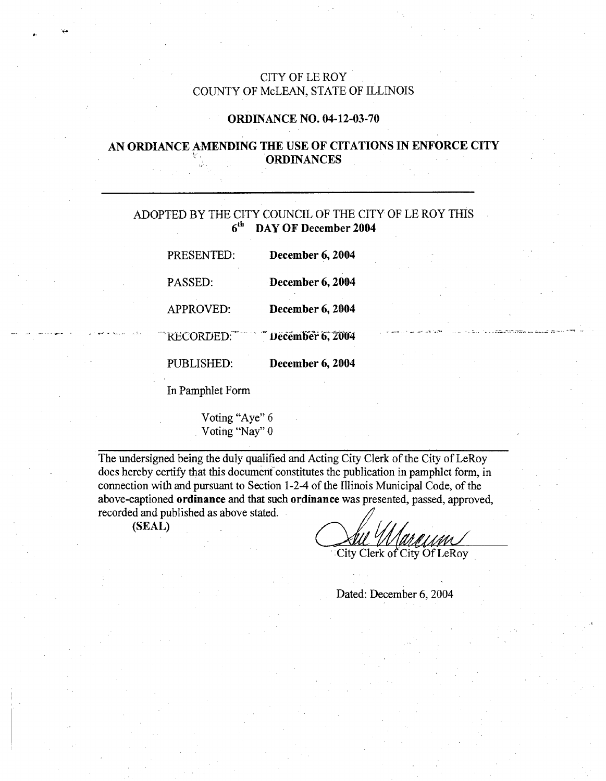## CITY OF LE ROY COUNTY OF McLEAN, STATE OF ILLINOIS

#### ORDINANCE NO. 04-12-03-70

## AN ORDIANCE AMENDING THE USE OF CITATIONS IN ENFORCE CITY ORDINANCES

# ADOPTED BY THE CITY COUNCIL OF THE CITY OF LE ROY THIS  $6<sup>th</sup>$  DAY OF December 2004

| PRESENTED:       | December 6, 2004 |  |
|------------------|------------------|--|
| <b>PASSED:</b>   | December 6, 2004 |  |
| APPROVED:        | December 6, 2004 |  |
| RECORDED:        | December 6, 2004 |  |
| PUBLISHED:       | December 6, 2004 |  |
| In Pamphlet Form |                  |  |

Voting "Aye" 6 Voting "Nay" 0

The undersigned being the duly qualified and Acting City Clerk of the City of LeRoy does hereby certify that this document constitutes the publication in pamphlet form, in connection with and pursuant to Section 1-2-4 of the Illinois Municipal Code, of the above-captioned ordinance and that such ordinance was presented, passed, approved, recorded and published as above stated.

(SEAL)

' City Clerk of City Of LeRoy

Dated: December 6, 2004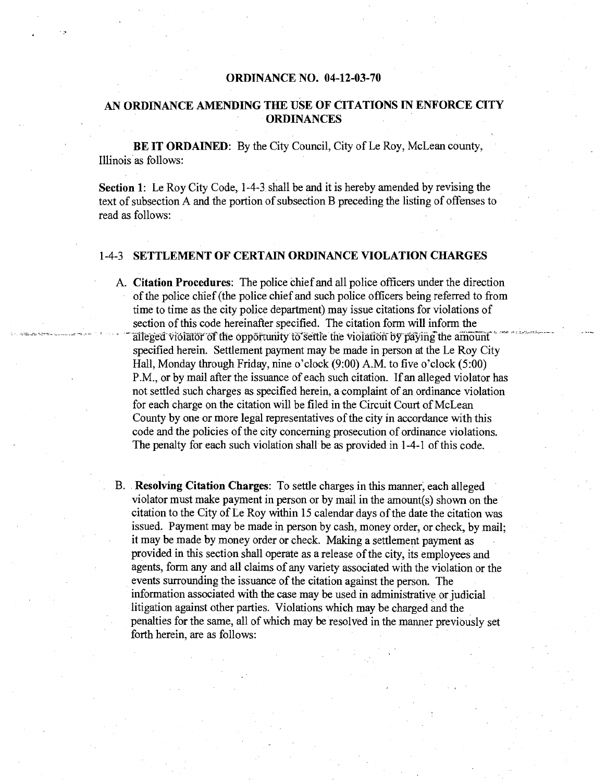#### ORDINANCE NO. 04-12-03-70

## AN ORDINANCE AMENDING THE USE OF CITATIONS IN ENFORCE CITY ORDINANCES

BE IT ORDAINED: By the City Council, City of Le Roy, McLean county, Illinois as follows:

Section 1: Le Roy City Code, 1-4-3. shall be and it is hereby amended by revising the text of subsection A and the portion of subsection B preceding the listing of offenses to read as follows:

#### 1-4-3 SETTLEMENT OF CERTAIN ORDINANCE VIOLATION CHARGES

- A. Citation Procedures: The police chief and all police officers under the direction of the police chief (the police chief and such police officers being referred to from time to time as the city police department) may issue citations for violations of section of this code hereinafter specified. The citation form will inform the alleged violator of the opportunity to settle the violation by paying the amount specified herein. Settlement payment may be made in person at the Le Roy City Hall, Monday through Friday, nine o'clock (9:00) A.M. to five o'clock (5:00) P.M., or by mail after the issuance of each such citation. If an alleged violator has not settled such charges as. specified herein, a complaint of an ordinance violation for each charge on the citation will be filed in the Circuit Court of McLean County by one or more legal representatives of the city in accordance with this code and the policies of the city concerning prosecution of ordinance violations. The penalty for each such violation shall be as provided in 1-4-1 of this code.
- B. Resolving Citation Charges: To settle charges in this manner; each alleged violator must make payment in person or by mail in the amount(s) shown on the citation to the City of Le Roy within 15 calendar days of the date the citation was issued. Payment may be made in person by cash, money order, or check, by mail; it may be made by money order or check. Making a settlement payment as provided in this section shall operate as a release of the city, its employees and agents, form any and all claims of any variety associated with the violation or the events surrounding the issuance of the citation against the person. The information associated with the case may be used in administrative or judicial litigation against other parties. Violations which may be charged and the penalties for the same, all of which may be resolved in the manner previously set forth herein, are as follows: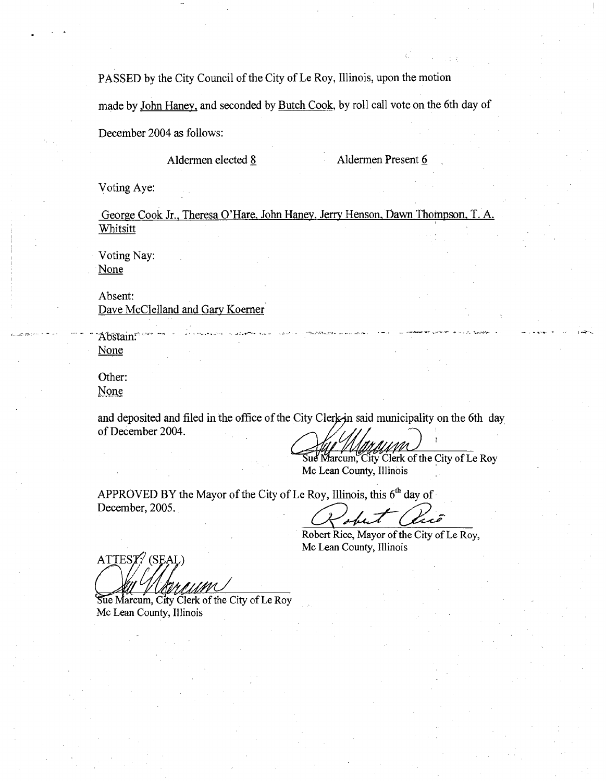PASSED by the City Council of the City of Le Roy, Illinois, upon the motion

made by John Haney, and seconded by Butch Cook, by roll call vote on the 6th day of

December 2004 as follows:

Aldermen elected 8 Aldermen Present 6

Voting Aye:

George Cook Jr., Theresa O'Hare, John Haney, Jerry Henson, Dawn Thompson, T. A. Whitsitt

لعقوقمصة والارتباع الأنبية الحيا

Voting Nay: None

Absent: Dave McClelland and Gary Koerner

Abstain. None

Other: None

and deposited and filed in the office of the City Clerk-in said municipality on the 6th day of December 2004.

Sue Marcum, City Clerk of the City of Le Roy Mc Lean County, Illinois

APPROVED BY the Mayor of the City of Le Roy, Illinois, this  $6<sup>th</sup>$  day of December, 2005.

Robert Rice, Mayor of the City of Le Roy, Mc Lean County, Illinois

 $ATTEST'/SELL$ 

Sue Marcum, City Clerk of the City of Le Roy Mc Lean County, Illinois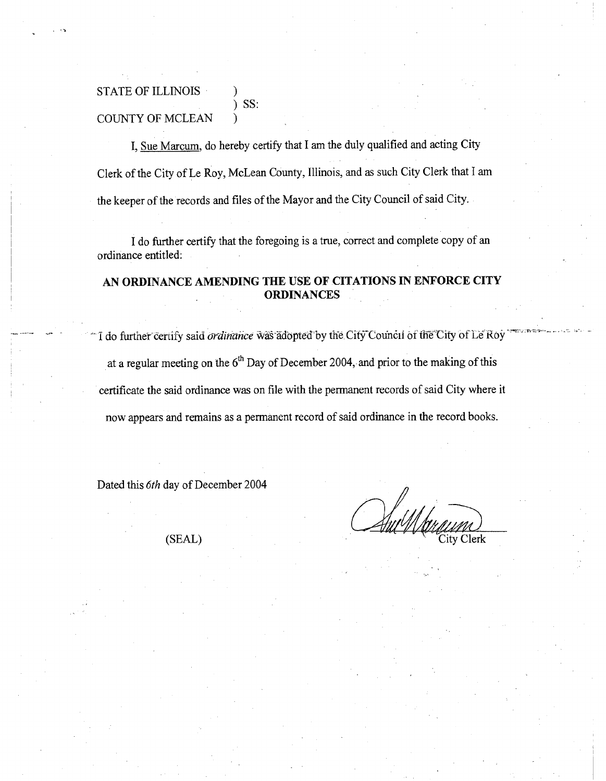## STATE OF ILLINOIS )  $)$  SS: COUNTY OF MCLEAN

I, Sue Marcum, do hereby certify that I am the duly qualified and acting City Clerk of the City of Le Roy, McLean County, Illinois, and as such City Clerk that I am the keeper of the records and files of the Mayor and the City Council of said City.

I do further certify that the foregoing is a true, correct and complete copy of an ordinance entitled:

## AN ORDINANCE AMENDING THE USE OF CITATIONS IN ENFORCE CITY ORDINANCES

I do further certify said *ordinance* was adopted by the City Council of the City of Le Roy at a regular meeting on the 6"' Day of December 2004, and prior to the making of this certificate the said ordinance was on file with the permanent records of said City where it now appears and remains as a permanent record of said ordinance in the record books.

Dated this 6th day of December 2004

(SEAL) City Clerk